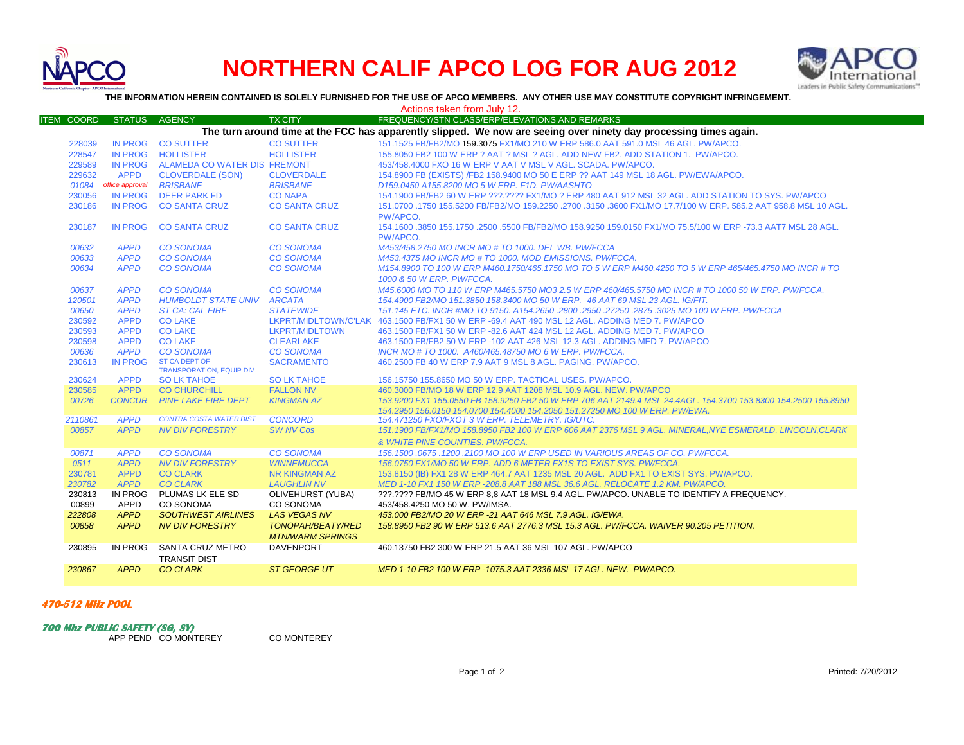

# **NORTHERN CALIF APCO LOG FOR AUG 2012**



**THE INFORMATION HEREIN CONTAINED IS SOLELY FURNISHED FOR THE USE OF APCO MEMBERS. ANY OTHER USE MAY CONSTITUTE COPYRIGHT INFRINGEMENT.**

|                                                                                                                   |                 |                                                         |                                       | Actions taken from July 12.                                                                                                |
|-------------------------------------------------------------------------------------------------------------------|-----------------|---------------------------------------------------------|---------------------------------------|----------------------------------------------------------------------------------------------------------------------------|
| <b>ITEM COORD</b>                                                                                                 | <b>STATUS</b>   | <b>AGENCY</b>                                           | <b>TX CITY</b>                        | FREQUENCY/STN CLASS/ERP/ELEVATIONS AND REMARKS                                                                             |
| The turn around time at the FCC has apparently slipped. We now are seeing over ninety day processing times again. |                 |                                                         |                                       |                                                                                                                            |
| 228039                                                                                                            | <b>IN PROG</b>  | <b>CO SUTTER</b>                                        | <b>CO SUTTER</b>                      | 151.1525 FB/FB2/MO 159.3075 FX1/MO 210 W ERP 586.0 AAT 591.0 MSL 46 AGL, PW/APCO.                                          |
| 228547                                                                                                            | IN PROG         | <b>HOLLISTER</b>                                        | <b>HOLLISTER</b>                      | 155,8050 FB2 100 W ERP ? AAT ? MSL ? AGL. ADD NEW FB2, ADD STATION 1. PW/APCO.                                             |
| 229589                                                                                                            |                 | IN PROG ALAMEDA CO WATER DIS FREMONT                    |                                       | 453/458,4000 FXO 16 W ERP V AAT V MSL V AGL, SCADA, PW/APCO,                                                               |
| 229632                                                                                                            | <b>APPD</b>     | <b>CLOVERDALE (SON)</b>                                 | <b>CLOVERDALE</b>                     | 154.8900 FB (EXISTS) /FB2 158.9400 MO 50 E ERP ?? AAT 149 MSL 18 AGL. PW/EWA/APCO.                                         |
| 01084                                                                                                             | office approval | <b>BRISBANE</b>                                         | <b>BRISBANE</b>                       | D159.0450 A155.8200 MO 5 W ERP. F1D. PW/AASHTO                                                                             |
| 230056                                                                                                            |                 | IN PROG DEER PARK FD                                    | <b>CO NAPA</b>                        | 154.1900 FB/FB2 60 W ERP ???.???? FX1/MO ? ERP 480 AAT 912 MSL 32 AGL. ADD STATION TO SYS. PW/APCO                         |
| 230186                                                                                                            |                 | IN PROG CO SANTA CRUZ                                   | <b>CO SANTA CRUZ</b>                  | 151.0700 .1750 155.5200 FB/FB2/MO 159.2250 .2700 .3150 .3600 FX1/MO 17.7/100 W ERP. 585.2 AAT 958.8 MSL 10 AGL.            |
|                                                                                                                   |                 |                                                         |                                       | PW/APCO.                                                                                                                   |
| 230187                                                                                                            |                 | IN PROG CO SANTA CRUZ                                   | <b>CO SANTA CRUZ</b>                  | 154.1600 .3850 155.1750 .2500 .5500 FB/FB2/MO 158.9250 159.0150 FX1/MO 75.5/100 W ERP -73.3 AAT7 MSL 28 AGL.<br>PW/APCO.   |
| 00632                                                                                                             | <b>APPD</b>     | <b>CO SONOMA</b>                                        | <b>CO SONOMA</b>                      | M453/458.2750 MO INCR MO # TO 1000. DEL WB. PW/FCCA                                                                        |
| 00633                                                                                                             | <b>APPD</b>     | <b>CO SONOMA</b>                                        | <b>CO SONOMA</b>                      | M453.4375 MO INCR MO # TO 1000, MOD EMISSIONS, PW/FCCA.                                                                    |
| 00634                                                                                                             | <b>APPD</b>     | <b>CO SONOMA</b>                                        | <b>CO SONOMA</b>                      | M154.8900 TO 100 W ERP M460.1750/465.1750 MO TO 5 W ERP M460.4250 TO 5 W ERP 465/465.4750 MO INCR # TO                     |
|                                                                                                                   |                 |                                                         |                                       | 1000 & 50 W ERP. PW/FCCA.                                                                                                  |
| 00637                                                                                                             | <b>APPD</b>     | <b>CO SONOMA</b>                                        | <b>CO SONOMA</b>                      | M45.6000 MO TO 110 W ERP M465.5750 MO3 2.5 W ERP 460/465.5750 MO INCR # TO 1000 50 W ERP. PW/FCCA.                         |
| 120501                                                                                                            | <b>APPD</b>     | <b>HUMBOLDT STATE UNIV ARCATA</b>                       |                                       | 154,4900 FB2/MO 151,3850 158,3400 MO 50 W ERP. -46 AAT 69 MSL 23 AGL. IG/FIT.                                              |
| 00650                                                                                                             | <b>APPD</b>     | <b>ST CA: CAL FIRE</b>                                  | <b>STATEWIDE</b>                      | 151.145 ETC. INCR #MO TO 9150. A154.2650 .2800 .2950 .27250 .2875 .3025 MO 100 W ERP. PW/FCCA                              |
| 230592                                                                                                            | <b>APPD</b>     | <b>CO LAKE</b>                                          |                                       | LKPRT/MIDLTOWN/C'LAK 463.1500 FB/FX1 50 W ERP -69.4 AAT 490 MSL 12 AGL. ADDING MED 7. PW/APCO                              |
| 230593                                                                                                            | <b>APPD</b>     | <b>CO LAKE</b>                                          | LKPRT/MIDLTOWN                        | 463.1500 FB/FX1 50 W ERP -82.6 AAT 424 MSL 12 AGL, ADDING MED 7, PW/APCO                                                   |
| 230598                                                                                                            | <b>APPD</b>     | <b>CO LAKE</b>                                          | <b>CLEARLAKE</b>                      | 463.1500 FB/FB2 50 W ERP -102 AAT 426 MSL 12.3 AGL. ADDING MED 7. PW/APCO                                                  |
| 00636                                                                                                             | <b>APPD</b>     | <b>CO SONOMA</b>                                        | <b>CO SONOMA</b>                      | INCR MO # TO 1000. A460/465.48750 MO 6 W ERP. PW/FCCA.                                                                     |
| 230613                                                                                                            | IN PROG         | <b>ST CA DEPT OF</b><br><b>TRANSPORATION, EQUIP DIV</b> | <b>SACRAMENTO</b>                     | 460,2500 FB 40 W ERP 7.9 AAT 9 MSL 8 AGL, PAGING, PW/APCO,                                                                 |
| 230624                                                                                                            | <b>APPD</b>     | <b>SO LK TAHOE</b>                                      | <b>SO LK TAHOE</b>                    | 156.15750 155.8650 MO 50 W ERP. TACTICAL USES. PW/APCO.                                                                    |
| 230585                                                                                                            | <b>APPD</b>     | <b>CO CHURCHILL</b>                                     | <b>FALLON NV</b>                      | 460,3000 FB/MO 18 W ERP 12.9 AAT 1208 MSL 10.9 AGL. NEW. PW/APCO                                                           |
| 00726                                                                                                             | <b>CONCUR</b>   | <b>PINE LAKE FIRE DEPT</b>                              | <b>KINGMAN AZ</b>                     | 153.9200 FX1 155.0550 FB 158.9250 FB2 50 W ERP 706 AAT 2149.4 MSL 24.4AGL. 154.3700 153.8300 154.2500 155.8950             |
|                                                                                                                   |                 |                                                         |                                       | 154.2950 156.0150 154.0700 154.4000 154.2050 151.27250 MO 100 W ERP. PW/EWA.                                               |
| 2110861                                                                                                           | <b>APPD</b>     | <b>CONTRA COSTA WATER DIST</b>                          | <b>CONCORD</b>                        | 154.471250 FXO/FXOT 3 W ERP. TELEMETRY. IG/UTC.                                                                            |
| 00857                                                                                                             | <b>APPD</b>     | <b>NV DIV FORESTRY</b>                                  | <b>SW NV Cos</b>                      | 151.1900 FB/FX1/MO 158.8950 FB2 100 W ERP 606 AAT 2376 MSL 9 AGL, MINERAL, NYE ESMERALD, LINCOLN, CLARK                    |
|                                                                                                                   |                 |                                                         |                                       | & WHITE PINE COUNTIES. PW/FCCA.                                                                                            |
| 00871                                                                                                             | <b>APPD</b>     | <b>CO SONOMA</b>                                        | <b>CO SONOMA</b>                      | 156.1500.0675.1200.2100 MO 100 W ERP USED IN VARIOUS AREAS OF CO. PW/FCCA.                                                 |
| 0511                                                                                                              | <b>APPD</b>     | <b>NV DIV FORESTRY</b>                                  | <b>WINNEMUCCA</b>                     | 156.0750 FX1/MO 50 W ERP. ADD 6 METER FX1S TO EXIST SYS. PW/FCCA.                                                          |
| 230781                                                                                                            | <b>APPD</b>     | <b>CO CLARK</b>                                         | <b>NR KINGMAN AZ</b>                  | 153.8150 (IB) FX1 28 W ERP 464.7 AAT 1235 MSL 20 AGL. ADD FX1 TO EXIST SYS. PW/APCO.                                       |
| 230782                                                                                                            | <b>APPD</b>     | <b>CO CLARK</b>                                         | <b>LAUGHLIN NV</b>                    | MED 1-10 FX1 150 W ERP -208.8 AAT 188 MSL 36.6 AGL. RELOCATE 1.2 KM. PW/APCO.                                              |
| 230813<br>00899                                                                                                   | IN PROG<br>APPD | PLUMAS LK ELE SD<br><b>CO SONOMA</b>                    | <b>OLIVEHURST (YUBA)</b><br>CO SONOMA | ???.???? FB/MO 45 W ERP 8.8 AAT 18 MSL 9.4 AGL. PW/APCO. UNABLE TO IDENTIFY A FREQUENCY.<br>453/458.4250 MO 50 W. PW/IMSA. |
| 222808                                                                                                            | <b>APPD</b>     | <b>SOUTHWEST AIRLINES</b>                               | <b>LAS VEGAS NV</b>                   | 453.000 FB2/MO 20 W ERP -21 AAT 646 MSL 7.9 AGL, IG/EWA.                                                                   |
| 00858                                                                                                             | <b>APPD</b>     | <b>NV DIV FORESTRY</b>                                  | <b>TONOPAH/BEATY/RED</b>              | 158.8950 FB2 90 W ERP 513.6 AAT 2776.3 MSL 15.3 AGL. PW/FCCA. WAIVER 90.205 PETITION.                                      |
|                                                                                                                   |                 |                                                         | <b>MTN/WARM SPRINGS</b>               |                                                                                                                            |
| 230895                                                                                                            | IN PROG         | SANTA CRUZ METRO<br><b>TRANSIT DIST</b>                 | <b>DAVENPORT</b>                      | 460.13750 FB2 300 W ERP 21.5 AAT 36 MSL 107 AGL, PW/APCO                                                                   |
| 230867                                                                                                            | <b>APPD</b>     | <b>CO CLARK</b>                                         | <b>ST GEORGE UT</b>                   | MED 1-10 FB2 100 W ERP -1075.3 AAT 2336 MSL 17 AGL. NEW. PW/APCO.                                                          |

### **470-512 MHz POOL**

**700 Mhz PUBLIC SAFETY (SG, SY)**

APP PEND CO MONTEREY CO MONTEREY